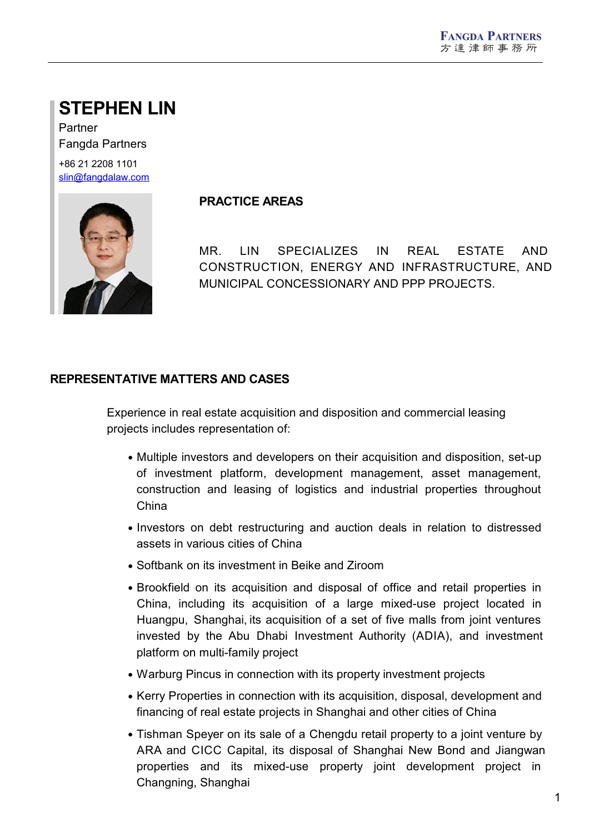# **STEPHEN LIN**

Partner Fangda Partners +86 21 2208 1101 [slin@fangdalaw.com](mailto:slin@fangdalaw.com)



#### **PRACTICE AREAS**

MR. LIN SPECIALIZES IN REAL ESTATE AND CONSTRUCTION, ENERGY AND INFRASTRUCTURE, AND MUNICIPAL CONCESSIONARY AND PPP PROJECTS.

### **REPRESENTATIVE MATTERS AND CASES**

Experience in real estate acquisition and disposition and commercial leasing projects includes representation of:

- Multiple investors and developers on their acquisition and disposition, set-up of investment platform, development management, asset management, construction and leasing of logistics and industrial properties throughout China
- Investors on debt restructuring and auction deals in relation to distressed assets in various cities of China
- Softbank on its investment in Beike and Ziroom
- Brookfield on its acquisition and disposal of office and retail properties in China, including its acquisition of a large mixed-use project located in Huangpu, Shanghai, its acquisition of a set of five malls from joint ventures invested by the Abu Dhabi Investment Authority (ADIA), and investment platform on multi-family project
- Warburg Pincus in connection with its property investment projects
- Kerry Properties in connection with its acquisition, disposal, development and financing of real estate projects in Shanghai and other cities of China
- Tishman Speyer on its sale of a Chengdu retail property to a joint venture by ARA and CICC Capital, its disposal of Shanghai New Bond and Jiangwan properties and its mixed-use property joint development project in Changning, Shanghai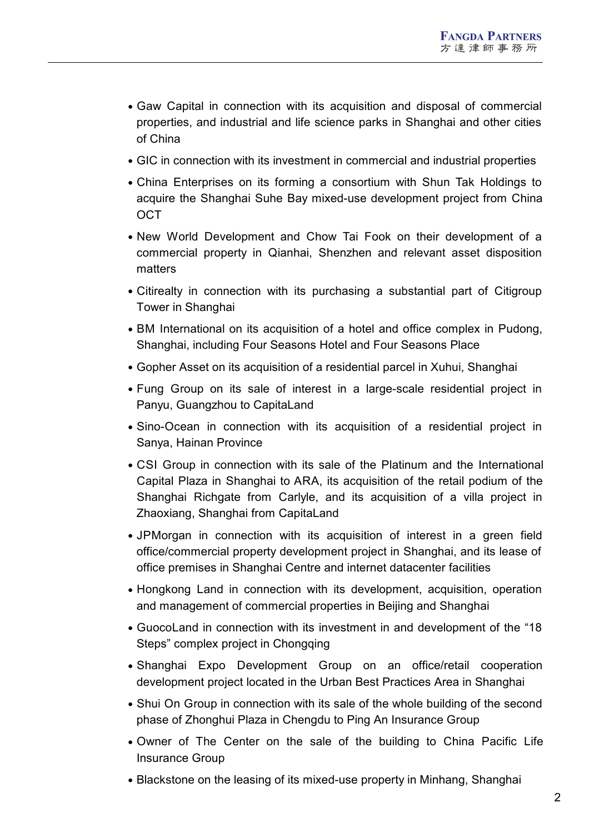- Gaw Capital in connection with its acquisition and disposal of commercial properties, and industrial and life science parks in Shanghai and other cities of China
- GIC in connection with its investment in commercial and industrial properties
- China Enterprises on its forming a consortium with Shun Tak Holdings to acquire the Shanghai Suhe Bay mixed-use development project from China OCT
- New World Development and Chow Tai Fook on their development of a commercial property in Qianhai, Shenzhen and relevant asset disposition matters
- Citirealty in connection with its purchasing a substantial part of Citigroup Tower in Shanghai
- BM International on its acquisition of a hotel and office complex in Pudong, Shanghai, including Four Seasons Hotel and Four Seasons Place
- Gopher Asset on its acquisition of a residential parcel in Xuhui, Shanghai
- Fung Group on its sale of interest in a large-scale residential project in Panyu, Guangzhou to CapitaLand
- Sino-Ocean in connection with its acquisition of a residential project in Sanya, Hainan Province
- CSI Group in connection with its sale of the Platinum and the International Capital Plaza in Shanghai to ARA, its acquisition of the retail podium of the Shanghai Richgate from Carlyle, and its acquisition of a villa project in Zhaoxiang, Shanghai from CapitaLand
- JPMorgan in connection with its acquisition of interest in a green field office/commercial property development project in Shanghai, and its lease of office premises in Shanghai Centre and internet datacenter facilities
- Hongkong Land in connection with its development, acquisition, operation and management of commercial properties in Beijing and Shanghai
- GuocoLand in connection with its investment in and development of the "18 Steps" complex project in Chongqing
- Shanghai Expo Development Group on an office/retail cooperation development project located in the Urban Best Practices Area in Shanghai
- Shui On Group in connection with its sale of the whole building of the second phase of Zhonghui Plaza in Chengdu to Ping An Insurance Group
- Owner of The Center on the sale of the building to China Pacific Life Insurance Group
- Blackstone on the leasing of its mixed-use property in Minhang, Shanghai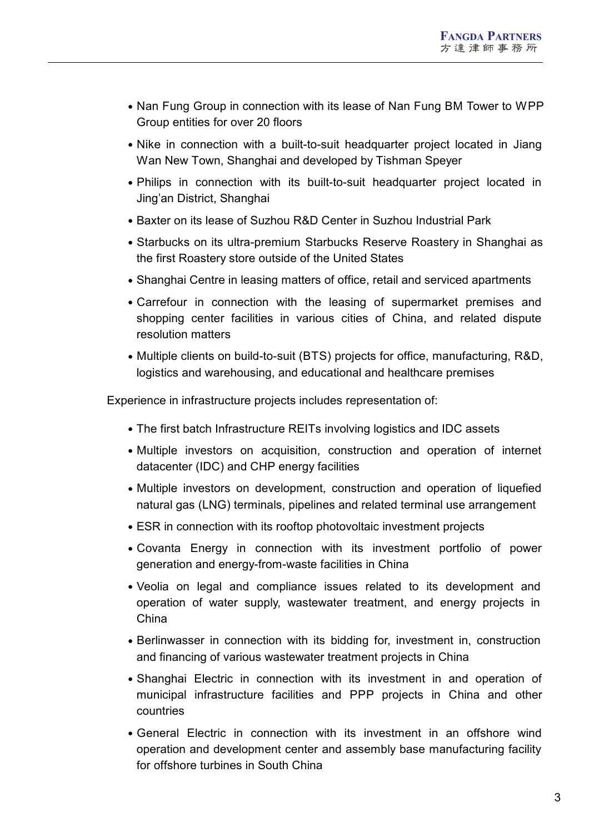- Nan Fung Group in connection with its lease of Nan Fung BM Tower to WPP Group entities for over 20 floors
- Nike in connection with a built-to-suit headquarter project located in Jiang Wan New Town, Shanghai and developed by Tishman Speyer
- Philips in connection with its built-to-suit headquarter project located in Jing'an District, Shanghai
- Baxter on its lease of Suzhou R&D Center in Suzhou Industrial Park
- Starbucks on its ultra-premium Starbucks Reserve Roastery in Shanghai as the first Roastery store outside of the United States
- Shanghai Centre in leasing matters of office, retail and serviced apartments
- Carrefour in connection with the leasing of supermarket premises and shopping center facilities in various cities of China, and related dispute resolution matters
- Multiple clients on build-to-suit (BTS) projects for office, manufacturing, R&D, logistics and warehousing, and educational and healthcare premises

Experience in infrastructure projects includes representation of:

- The first batch Infrastructure REITs involving logistics and IDC assets
- Multiple investors on acquisition, construction and operation of internet datacenter (IDC) and CHP energy facilities
- Multiple investors on development, construction and operation of liquefied natural gas (LNG) terminals, pipelines and related terminal use arrangement
- ESR in connection with its rooftop photovoltaic investment projects
- Covanta Energy in connection with its investment portfolio of power generation and energy-from-waste facilities in China
- Veolia on legal and compliance issues related to its development and operation of water supply, wastewater treatment, and energy projects in China
- Berlinwasser in connection with its bidding for, investment in, construction and financing of various wastewater treatment projects in China
- Shanghai Electric in connection with its investment in and operation of municipal infrastructure facilities and PPP projects in China and other countries
- General Electric in connection with its investment in an offshore wind operation and development center and assembly base manufacturing facility for offshore turbines in South China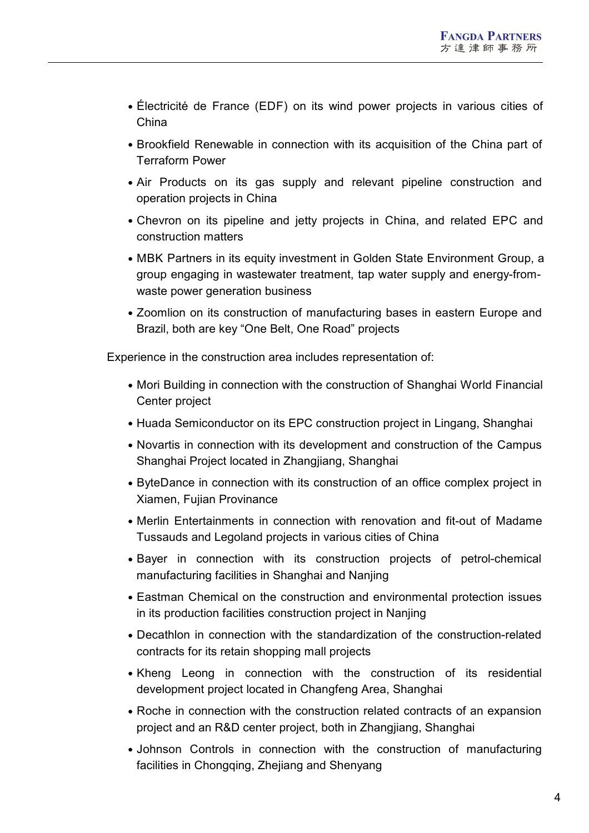- Électricité de France (EDF) on its wind power projects in various cities of China
- Brookfield Renewable in connection with its acquisition of the China part of Terraform Power
- Air Products on its gas supply and relevant pipeline construction and operation projects in China
- Chevron on its pipeline and jetty projects in China, and related EPC and construction matters
- MBK Partners in its equity investment in Golden State Environment Group, a group engaging in wastewater treatment, tap water supply and energy-from waste power generation business
- Zoomlion on its construction of manufacturing bases in eastern Europe and Brazil, both are key "One Belt, One Road" projects

Experience in the construction area includes representation of:

- Mori Building in connection with the construction of Shanghai World Financial Center project
- Huada Semiconductor on its EPC construction project in Lingang, Shanghai
- Novartis in connection with its development and construction of the Campus Shanghai Project located in Zhangjiang, Shanghai
- ByteDance in connection with its construction of an office complex project in Xiamen, Fujian Provinance
- Merlin Entertainments in connection with renovation and fit-out of Madame Tussauds and Legoland projects in various cities of China
- Bayer in connection with its construction projects of petrol-chemical manufacturing facilities in Shanghai and Nanjing
- Eastman Chemical on the construction and environmental protection issues in its production facilities construction project in Nanjing
- Decathlon in connection with the standardization of the construction-related contracts for its retain shopping mall projects
- Kheng Leong in connection with the construction of its residential development project located in Changfeng Area, Shanghai
- Roche in connection with the construction related contracts of an expansion project and an R&D center project, both in Zhangjiang, Shanghai
- Johnson Controls in connection with the construction of manufacturing facilities in Chongqing, Zhejiang and Shenyang